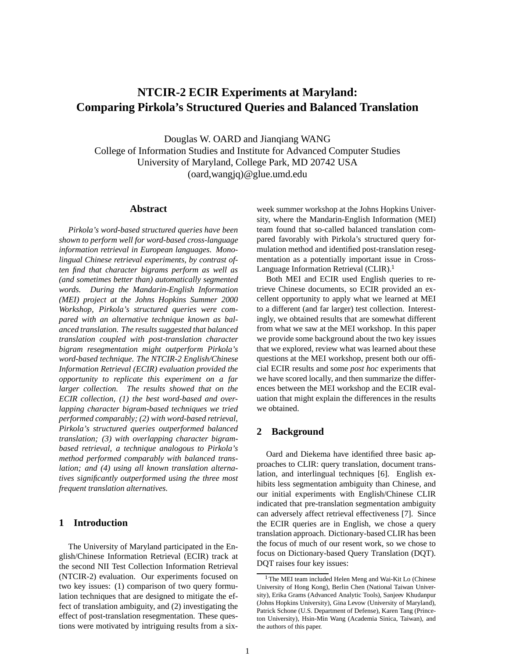# **NTCIR-2 ECIR Experiments at Maryland: Comparing Pirkola's Structured Queries and Balanced Translation**

Douglas W. OARD and Jianqiang WANG College of Information Studies and Institute for Advanced Computer Studies University of Maryland, College Park, MD 20742 USA (oard,wangjq)@glue.umd.edu

#### **Abstract**

*Pirkola's word-based structured queries have been shown to perform well for word-based cross-language information retrieval in European languages. Monolingual Chinese retrieval experiments, by contrast often find that character bigrams perform as well as (and sometimes better than) automatically segmented words. During the Mandarin-English Information (MEI) project at the Johns Hopkins Summer 2000 Workshop, Pirkola's structured queries were compared with an alternative technique known as balanced translation. The results suggested that balanced translation coupled with post-translation character bigram resegmentation might outperform Pirkola's word-based technique. The NTCIR-2 English/Chinese Information Retrieval (ECIR) evaluation provided the opportunity to replicate this experiment on a far larger collection. The results showed that on the ECIR collection, (1) the best word-based and overlapping character bigram-based techniques we tried performed comparably; (2) with word-based retrieval, Pirkola's structured queries outperformed balanced translation; (3) with overlapping character bigrambased retrieval, a technique analogous to Pirkola's method performed comparably with balanced translation; and (4) using all known translation alternatives significantly outperformed using the three most frequent translation alternatives.*

# **1 Introduction**

The University of Maryland participated in the English/Chinese Information Retrieval (ECIR) track at the second NII Test Collection Information Retrieval (NTCIR-2) evaluation. Our experiments focused on two key issues: (1) comparison of two query formulation techniques that are designed to mitigate the effect of translation ambiguity, and (2) investigating the effect of post-translation resegmentation. These questions were motivated by intriguing results from a sixweek summer workshop at the Johns Hopkins University, where the Mandarin-English Information (MEI) team found that so-called balanced translation compared favorably with Pirkola's structured query formulation method and identified post-translation resegmentation as a potentially important issue in Cross-Language Information Retrieval (CLIR).

Both MEI and ECIR used English queries to retrieve Chinese documents, so ECIR provided an excellent opportunity to apply what we learned at MEI to a different (and far larger) test collection. Interestingly, we obtained results that are somewhat different from what we saw at the MEI workshop. In this paper we provide some background about the two key issues that we explored, review what was learned about these questions at the MEI workshop, present both our official ECIR results and some *post hoc* experiments that we have scored locally, and then summarize the differences between the MEI workshop and the ECIR evaluation that might explain the differences in the results we obtained.

## **2 Background**

Oard and Diekema have identified three basic approaches to CLIR: query translation, document translation, and interlingual techniques [6]. English exhibits less segmentation ambiguity than Chinese, and our initial experiments with English/Chinese CLIR indicated that pre-translation segmentation ambiguity can adversely affect retrieval effectiveness [7]. Since the ECIR queries are in English, we chose a query translation approach. Dictionary-based CLIR has been the focus of much of our resent work, so we chose to focus on Dictionary-based Query Translation (DQT). DQT raises four key issues:

<sup>&</sup>lt;sup>1</sup> The MEI team included Helen Meng and Wai-Kit Lo (Chinese University of Hong Kong), Berlin Chen (National Taiwan University), Erika Grams (Advanced Analytic Tools), Sanjeev Khudanpur (Johns Hopkins University), Gina Levow (University of Maryland), Patrick Schone (U.S. Department of Defense), Karen Tang (Princeton University), Hsin-Min Wang (Academia Sinica, Taiwan), and the authors of this paper.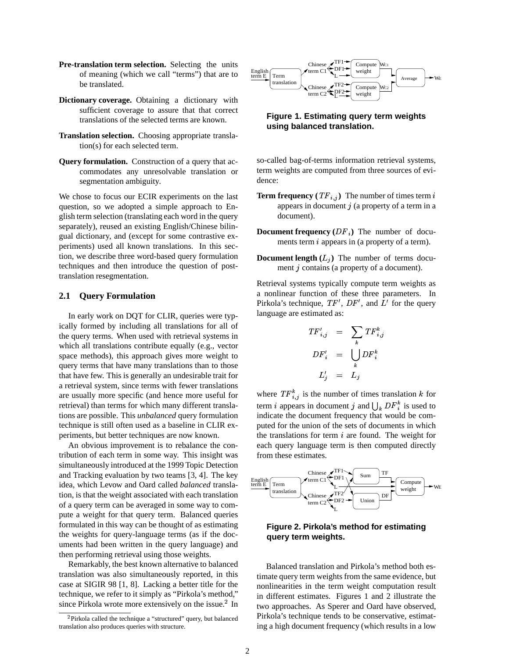- Pre-translation term selection. Selecting the units of meaning (which we call "terms") that are to be translated.
- **Dictionary coverage.** Obtaining a dictionary with sufficient coverage to assure that that correct translations of the selected terms are known.
- **Translation selection.** Choosing appropriate translation(s) for each selected term.
- **Query formulation.** Construction of a query that accommodates any unresolvable translation or segmentation ambiguity.

We chose to focus our ECIR experiments on the last question, so we adopted a simple approach to English term selection (translating each word in the query separately), reused an existing English/Chinese bilingual dictionary, and (except for some contrastive experiments) used all known translations. In this section, we describe three word-based query formulation techniques and then introduce the question of posttranslation resegmentation.

## **2.1 Query Formulation**

In early work on DQT for CLIR, queries were typically formed by including all translations for all of the query terms. When used with retrieval systems in which all translations contribute equally (e.g., vector space methods), this approach gives more weight to query terms that have many translations than to those that have few. This is generally an undesirable trait for a retrieval system, since terms with fewer translations are usually more specific (and hence more useful for retrieval) than terms for which many different translations are possible. This *unbalanced* query formulation technique is still often used as a baseline in CLIR experiments, but better techniques are now known.

An obvious improvement is to rebalance the contribution of each term in some way. This insight was simultaneously introduced at the 1999 Topic Detection and Tracking evaluation by two teams [3, 4]. The key idea, which Levow and Oard called *balanced* translation, is that the weight associated with each translation of a query term can be averaged in some way to compute a weight for that query term. Balanced queries formulated in this way can be thought of as estimating the weights for query-language terms (as if the documents had been written in the query language) and then performing retrieval using those weights.

Remarkably, the best known alternative to balanced translation was also simultaneously reported, in this case at SIGIR 98 [1, 8]. Lacking a better title for the technique, we refer to it simply as "Pirkola's method," since Pirkola wrote more extensively on the issue. $2$  In



**Figure 1. Estimating query term weights using balanced translation.**

so-called bag-of-terms information retrieval systems, term weights are computed from three sources of evidence:

- **Term frequency**  $(TF_{i,j})$  The number of times term i appears in document  $j$  (a property of a term in a document).
- **Document frequency**  $(DF_i)$  The number of documents term  $i$  appears in (a property of a term).
- **Document length**  $(L_i)$  The number of terms document  $j$  contains (a property of a document).

Retrieval systems typically compute term weights as a nonlinear function of these three parameters. In Pirkola's technique,  $TF'$ ,  $DF'$ , and  $L'$  for the query language are estimated as:

$$
TF'_{i,j} = \sum_{k} TF^{k}_{i,j}
$$
  

$$
DF'_{i} = \bigcup_{k} DF^{k}_{i}
$$
  

$$
L'_{j} = L_{j}
$$

where  $TF_{i,j}^k$  is the number of times translation k for term *i* appears in document *j* and  $\bigcup_k DF_i^k$  is used to indicate the document frequency that would be computed for the union of the sets of documents in which the translations for term  $i$  are found. The weight for each query language term is then computed directly from these estimates.



# **Figure 2. Pirkola's method for estimating query term weights.**

Balanced translation and Pirkola's method both estimate query term weights from the same evidence, but nonlinearities in the term weight computation result in different estimates. Figures 1 and 2 illustrate the two approaches. As Sperer and Oard have observed, Pirkola's technique tends to be conservative, estimating a high document frequency (which results in a low

<sup>&</sup>lt;sup>2</sup>Pirkola called the technique a "structured" query, but balanced translation also produces queries with structure.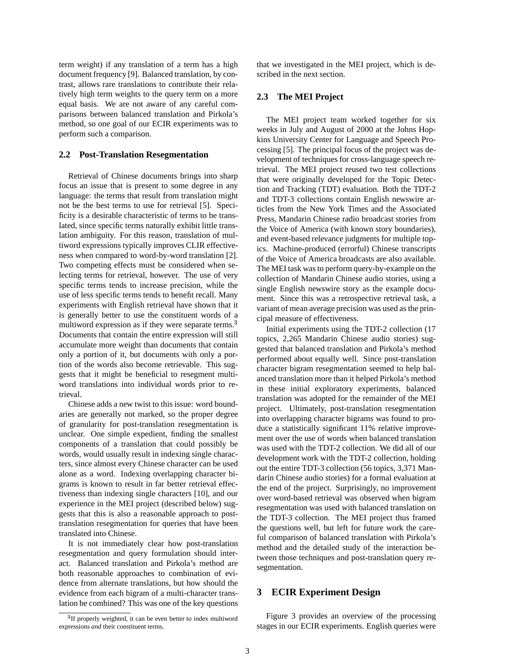term weight) if any translation of a term has a high document frequency [9]. Balanced translation, by contrast, allows rare translations to contribute their relatively high term weights to the query term on a more equal basis. We are not aware of any careful comparisons between balanced translation and Pirkola's method, so one goal of our ECIR experiments was to perform such a comparison.

## **2.2 Post-Translation Resegmentation**

Retrieval of Chinese documents brings into sharp focus an issue that is present to some degree in any language: the terms that result from translation might not be the best terms to use for retrieval [5]. Specificity is a desirable characteristic of terms to be translated, since specific terms naturally exhibit little translation ambiguity. For this reason, translation of multiword expressions typically improves CLIR effectiveness when compared to word-by-word translation [2]. Two competing effects must be considered when selecting terms for retrieval, however. The use of very specific terms tends to increase precision, while the use of less specific terms tends to benefit recall. Many experiments with English retrieval have shown that it is generally better to use the constituent words of a multiword expression as if they were separate terms.<sup>3</sup> Documents that contain the entire expression will still accumulate more weight than documents that contain only a portion of it, but documents with only a portion of the words also become retrievable. This suggests that it might be beneficial to resegment multiword translations into individual words prior to retrieval.

Chinese adds a new twist to this issue: word boundaries are generally not marked, so the proper degree of granularity for post-translation resegmentation is unclear. One simple expedient, finding the smallest components of a translation that could possibly be words, would usually result in indexing single characters, since almost every Chinese character can be used alone as a word. Indexing overlapping character bigrams is known to result in far better retrieval effectiveness than indexing single characters [10], and our experience in the MEI project (described below) suggests that this is also a reasonable approach to posttranslation resegmentation for queries that have been translated into Chinese.

It is not immediately clear how post-translation resegmentation and query formulation should interact. Balanced translation and Pirkola's method are both reasonable approaches to combination of evidence from alternate translations, but how should the evidence from each bigram of a multi-character translation be combined? This was one of the key questions that we investigated in the MEI project, which is described in the next section.

## **2.3 The MEI Project**

The MEI project team worked together for six weeks in July and August of 2000 at the Johns Hopkins University Center for Language and Speech Processing [5]. The principal focus of the project was development of techniques for cross-language speech retrieval. The MEI project reused two test collections that were originally developed for the Topic Detection and Tracking (TDT) evaluation. Both the TDT-2 and TDT-3 collections contain English newswire articles from the New York Times and the Associated Press, Mandarin Chinese radio broadcast stories from the Voice of America (with known story boundaries), and event-based relevance judgments for multiple topics. Machine-produced (errorful) Chinese transcripts of the Voice of America broadcasts are also available. The MEI task wasto perform query-by-example on the collection of Mandarin Chinese audio stories, using a single English newswire story as the example document. Since this was a retrospective retrieval task, a variant of mean average precision was used asthe principal measure of effectiveness.

Initial experiments using the TDT-2 collection (17 topics, 2,265 Mandarin Chinese audio stories) suggested that balanced translation and Pirkola's method performed about equally well. Since post-translation character bigram resegmentation seemed to help balanced translation more than it helped Pirkola's method in these initial exploratory experiments, balanced translation was adopted for the remainder of the MEI project. Ultimately, post-translation resegmentation into overlapping character bigrams was found to produce a statistically significant 11% relative improvement over the use of words when balanced translation was used with the TDT-2 collection. We did all of our development work with the TDT-2 collection, holding out the entire TDT-3 collection (56 topics, 3,371 Mandarin Chinese audio stories) for a formal evaluation at the end of the project. Surprisingly, no improvement over word-based retrieval was observed when bigram resegmentation was used with balanced translation on the TDT-3 collection. The MEI project thus framed the questions well, but left for future work the careful comparison of balanced translation with Pirkola's method and the detailed study of the interaction between those techniques and post-translation query resegmentation.

## **3 ECIR Experiment Design**

Figure 3 provides an overview of the processing stages in our ECIR experiments. English queries were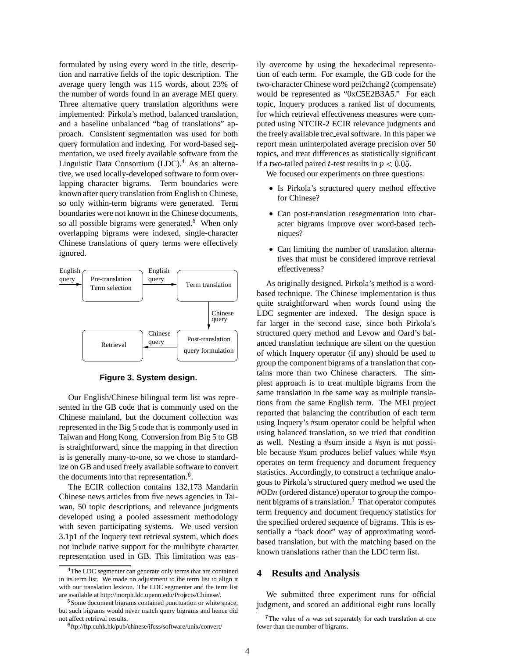formulated by using every word in the title, description and narrative fields of the topic description. The average query length was 115 words, about 23% of the number of words found in an average MEI query. Three alternative query translation algorithms were implemented: Pirkola's method, balanced translation, and a baseline unbalanced "bag of translations" approach. Consistent segmentation was used for both query formulation and indexing. For word-based segmentation, we used freely available software from the Linguistic Data Consortium  $(LDC)^4$ . As an alternative, we used locally-developed software to form overlapping character bigrams. Term boundaries were known after query translation from English to Chinese, so only within-term bigrams were generated. Term boundaries were not known in the Chinese documents, so all possible bigrams were generated.<sup>5</sup> When only overlapping bigrams were indexed, single-character Chinese translations of query terms were effectively ignored.



**Figure 3. System design.**

Our English/Chinese bilingual term list was represented in the GB code that is commonly used on the Chinese mainland, but the document collection was represented in the Big 5 code that is commonly used in Taiwan and Hong Kong. Conversion from Big 5 to GB is straightforward, since the mapping in that direction is is generally many-to-one, so we chose to standardize on GB and used freely available software to convert the documents into that representation. $6$ .

The ECIR collection contains 132,173 Mandarin Chinese news articles from five news agencies in Taiwan, 50 topic descriptions, and relevance judgments developed using a pooled assessment methodology with seven participating systems. We used version 3.1p1 of the Inquery text retrieval system, which does not include native support for the multibyte character representation used in GB. This limitation was easily overcome by using the hexadecimal representation of each term. For example, the GB code for the two-character Chinese word pei2chang2 (compensate) would be represented as "0xC5E2B3A5." For each topic, Inquery produces a ranked list of documents, for which retrieval effectiveness measures were computed using NTCIR-2 ECIR relevance judgments and the freely available trec\_eval software. In this paper we report mean uninterpolated average precision over 50 topics, and treat differences as statistically significant if a two-tailed paired *t*-test results in  $p < 0.05$ .

We focused our experiments on three questions:

- Is Pirkola's structured query method effective for Chinese?
- Can post-translation resegmentation into character bigrams improve over word-based techniques?
- Can limiting the number of translation alternatives that must be considered improve retrieval effectiveness?

As originally designed, Pirkola's method is a wordbased technique. The Chinese implementation is thus quite straightforward when words found using the LDC segmenter are indexed. The design space is far larger in the second case, since both Pirkola's structured query method and Levow and Oard's balanced translation technique are silent on the question of which Inquery operator (if any) should be used to group the component bigrams of a translation that contains more than two Chinese characters. The simplest approach is to treat multiple bigrams from the same translation in the same way as multiple translations from the same English term. The MEI project reported that balancing the contribution of each term using Inquery's #sum operator could be helpful when using balanced translation, so we tried that condition as well. Nesting a #sum inside a #syn is not possible because #sum produces belief values while #syn operates on term frequency and document frequency statistics. Accordingly, to construct a technique analogous to Pirkola's structured query method we used the  $\#\text{OD}_n$  (ordered distance) operator to group the component bigrams of a translation.<sup>7</sup> That operator computes term frequency and document frequency statistics for the specified ordered sequence of bigrams. This is essentially a "back door" way of approximating wordbased translation, but with the matching based on the known translations rather than the LDC term list.

## **4 Results and Analysis**

We submitted three experiment runs for official judgment, and scored an additional eight runs locally

<sup>&</sup>lt;sup>4</sup>The LDC segmenter can generate only terms that are contained in its term list. We made no adjustment to the term list to align it with our translation lexicon. The LDC segmenter and the term list are available at http://morph.ldc.upenn.edu/Projects/Chinese/.

<sup>&</sup>lt;sup>5</sup> Some document bigrams contained punctuation or white space, but such bigrams would never match query bigrams and hence did not affect retrieval results.

<sup>&</sup>lt;sup>6</sup>ftp://ftp.cuhk.hk/pub/chinese/ifcss/software/unix/convert/

<sup>&</sup>lt;sup>7</sup>The value of  $n$  was set separately for each translation at one fewer than the number of bigrams.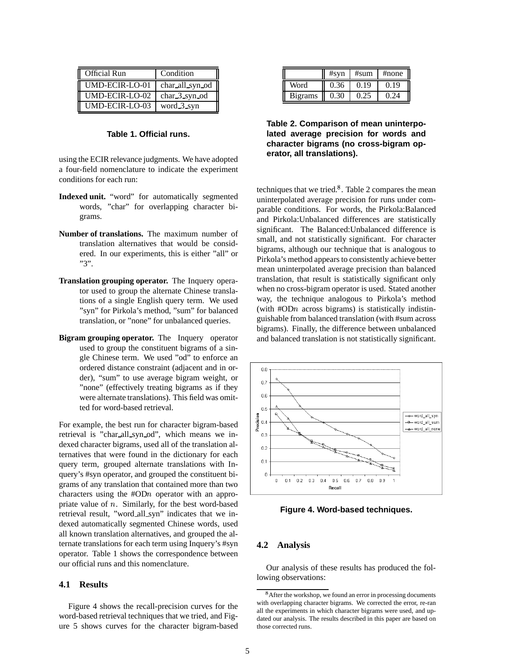| <b>Official Run</b>   | Condition       |
|-----------------------|-----------------|
| <b>UMD-ECIR-LO-01</b> | char_all_syn_od |
| UMD-ECIR-LO-02        | $char_3$ syn od |
| UMD-ECIR-LO-03        | word 3 syn      |

## **Table 1. Official runs.**

using the ECIR relevance judgments. We have adopted a four-field nomenclature to indicate the experiment conditions for each run:

- **Indexed unit.** "word" for automatically segmented words, "char" for overlapping character bigrams.
- **Number of translations.** The maximum number of translation alternatives that would be considered. In our experiments, this is either "all" or "3".
- **Translation grouping operator.** The Inquery operator used to group the alternate Chinese translations of a single English query term. We used "syn" for Pirkola's method, "sum" for balanced translation, or "none" for unbalanced queries.
- **Bigram grouping operator.** The Inquery operator used to group the constituent bigrams of a single Chinese term. We used "od" to enforce an ordered distance constraint (adjacent and in order), "sum" to use average bigram weight, or "none" (effectively treating bigrams as if they were alternate translations). This field was omitted for word-based retrieval.

For example, the best run for character bigram-based retrieval is "char all syn od", which means we indexed character bigrams, used all of the translation alternatives that were found in the dictionary for each query term, grouped alternate translations with Inquery's #syn operator, and grouped the constituent bigrams of any translation that contained more than two characters using the  $#ODn$  operator with an appropriate value of  $n$ . Similarly, for the best word-based retrieval result, "word all syn" indicates that we indexed automatically segmented Chinese words, used all known translation alternatives, and grouped the alternate translations for each term using Inquery's #syn operator. Table 1 shows the correspondence between our official runs and this nomenclature.

## **4.1 Results**

Figure 4 shows the recall-precision curves for the word-based retrieval techniques that we tried, and Figure 5 shows curves for the character bigram-based

|                | #syn | #sum | #none      |
|----------------|------|------|------------|
| Word           | 0.36 | 0.19 | $(1)$ , 19 |
| <b>Bigrams</b> | 0.30 |      | በ 24       |

**Table 2. Comparison of mean uninterpolated average precision for words and character bigrams (no cross-bigram operator, all translations).**

techniques that we tried. $8$ . Table 2 compares the mean uninterpolated average precision for runs under comparable conditions. For words, the Pirkola:Balanced and Pirkola:Unbalanced differences are statistically significant. The Balanced:Unbalanced difference is small, and not statistically significant. For character bigrams, although our technique that is analogous to Pirkola's method appears to consistently achieve better mean uninterpolated average precision than balanced translation, that result is statistically significant only when no cross-bigram operator is used. Stated another way, the technique analogous to Pirkola's method (with  $\#\text{OD}n$  across bigrams) is statistically indistinguishable from balanced translation (with #sum across bigrams). Finally, the difference between unbalanced and balanced translation is not statistically significant.



**Figure 4. Word-based techniques.**

## **4.2 Analysis**

Our analysis of these results has produced the following observations:

<sup>&</sup>lt;sup>8</sup> After the workshop, we found an error in processing documents with overlapping character bigrams. We corrected the error, re-ran all the experiments in which character bigrams were used, and updated our analysis. The results described in this paper are based on those corrected runs.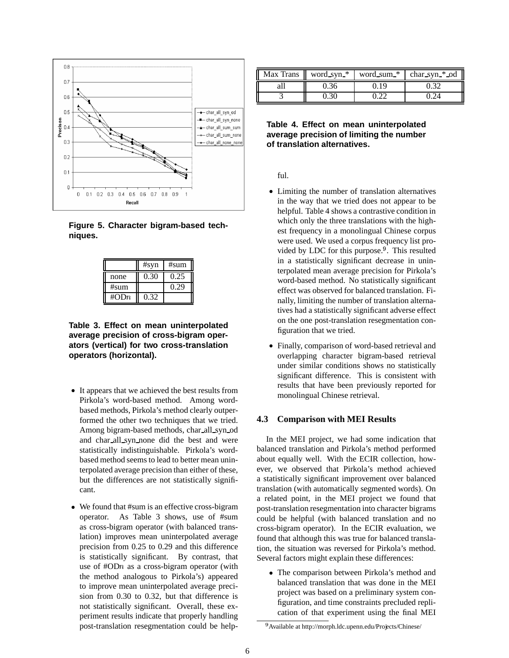

**Figure 5. Character bigram-based techniques.**

|         | #syn | #sum |
|---------|------|------|
| none    | 0.30 | 0.25 |
| #sum    |      | 0.29 |
| # $ODn$ | 0.32 |      |

**Table 3. Effect on mean uninterpolated average precision of cross-bigram operators (vertical) for two cross-translation operators (horizontal).**

- / It appears that we achieved the best results from Pirkola's word-based method. Among wordbased methods,Pirkola's method clearly outperformed the other two techniques that we tried. Among bigram-based methods, char all syn od and char all syn none did the best and were statistically indistinguishable. Pirkola's wordbased method seems to lead to better mean uninterpolated average precision than either of these, but the differences are not statistically significant.
- We found that #sum is an effective cross-bigram operator. As Table 3 shows, use of #sum as cross-bigram operator (with balanced translation) improves mean uninterpolated average precision from 0.25 to 0.29 and this difference is statistically significant. By contrast, that use of  $#ODn$  as a cross-bigram operator (with the method analogous to Pirkola's) appeared to improve mean uninterpolated average precision from 0.30 to 0.32, but that difference is not statistically significant. Overall, these experiment results indicate that properly handling post-translation resegmentation could be help-

|  | Max Trans    word_syn_*   word_sum_*   char_syn_*_od |
|--|------------------------------------------------------|
|  |                                                      |
|  |                                                      |

## **Table 4. Effect on mean uninterpolated average precision of limiting the number of translation alternatives.**

ful.

- Limiting the number of translation alternatives in the way that we tried does not appear to be helpful. Table 4 shows a contrastive condition in which only the three translations with the highest frequency in a monolingual Chinese corpus were used. We used a corpus frequency list provided by LDC for this purpose. $9$ . This resulted in a statistically significant decrease in uninterpolated mean average precision for Pirkola's word-based method. No statistically significant effect was observed for balanced translation. Finally, limiting the number of translation alternatives had a statistically significant adverse effect on the one post-translation resegmentation configuration that we tried.
- / Finally, comparison of word-based retrieval and overlapping character bigram-based retrieval under similar conditions shows no statistically significant difference. This is consistent with results that have been previously reported for monolingual Chinese retrieval.

## **4.3 Comparison with MEI Results**

In the MEI project, we had some indication that balanced translation and Pirkola's method performed about equally well. With the ECIR collection, however, we observed that Pirkola's method achieved a statistically significant improvement over balanced translation (with automatically segmented words). On a related point, in the MEI project we found that post-translation resegmentation into character bigrams could be helpful (with balanced translation and no cross-bigram operator). In the ECIR evaluation, we found that although this was true for balanced translation, the situation was reversed for Pirkola's method. Several factors might explain these differences:

• The comparison between Pirkola's method and balanced translation that was done in the MEI project was based on a preliminary system configuration, and time constraints precluded replication of that experiment using the final MEI

<sup>&</sup>lt;sup>9</sup> Available at http://morph.ldc.upenn.edu/Projects/Chinese/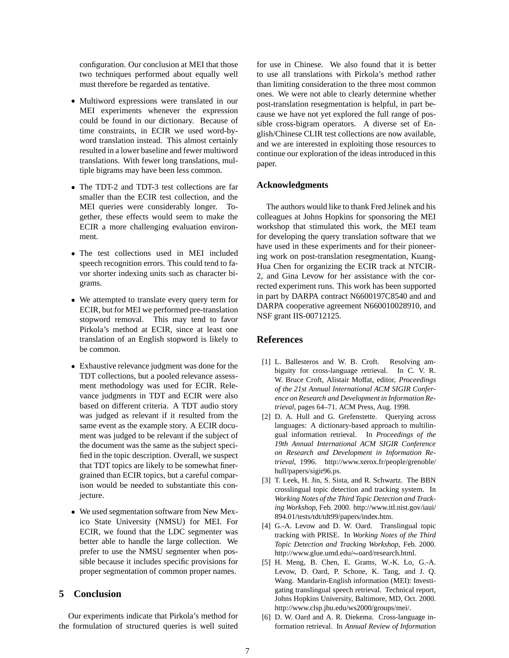configuration. Our conclusion at MEI that those two techniques performed about equally well must therefore be regarded as tentative.

- / Multiword expressions were translated in our MEI experiments whenever the expression could be found in our dictionary. Because of time constraints, in ECIR we used word-byword translation instead. This almost certainly resulted in a lower baseline and fewer multiword translations. With fewer long translations, multiple bigrams may have been less common.
- The TDT-2 and TDT-3 test collections are far smaller than the ECIR test collection, and the MEI queries were considerably longer. Together, these effects would seem to make the ECIR a more challenging evaluation environment.
- / The test collections used in MEI included speech recognition errors. This could tend to favor shorter indexing units such as character bigrams.
- We attempted to translate every query term for ECIR, but for MEI we performed pre-translation stopword removal. This may tend to favor Pirkola's method at ECIR, since at least one translation of an English stopword is likely to be common.
- Exhaustive relevance judgment was done for the TDT collections, but a pooled relevance assessment methodology was used for ECIR. Relevance judgments in TDT and ECIR were also based on different criteria. A TDT audio story was judged as relevant if it resulted from the same event as the example story. A ECIR document was judged to be relevant if the subject of the document was the same as the subject specified in the topic description. Overall, we suspect that TDT topics are likely to be somewhat finergrained than ECIR topics, but a careful comparison would be needed to substantiate this conjecture.
- We used segmentation software from New Mexico State University (NMSU) for MEI. For ECIR, we found that the LDC segmenter was better able to handle the large collection. We prefer to use the NMSU segmenter when possible because it includes specific provisions for proper segmentation of common proper names.

# **5 Conclusion**

Our experiments indicate that Pirkola's method for the formulation of structured queries is well suited for use in Chinese. We also found that it is better to use all translations with Pirkola's method rather than limiting consideration to the three most common ones. We were not able to clearly determine whether post-translation resegmentation is helpful, in part because we have not yet explored the full range of possible cross-bigram operators. A diverse set of English/Chinese CLIR test collections are now available, and we are interested in exploiting those resources to continue our exploration of the ideas introduced in this paper.

#### **Acknowledgments**

The authors would like to thank Fred Jelinek and his colleagues at Johns Hopkins for sponsoring the MEI workshop that stimulated this work, the MEI team for developing the query translation software that we have used in these experiments and for their pioneering work on post-translation resegmentation, Kuang-Hua Chen for organizing the ECIR track at NTCIR-2, and Gina Levow for her assistance with the corrected experiment runs. This work has been supported in part by DARPA contract N6600197C8540 and and DARPA cooperative agreement N660010028910, and NSF grant IIS-00712125.

## **References**

- [1] L. Ballesteros and W. B. Croft. Resolving ambiguity for cross-language retrieval. In C. V. R. W. Bruce Croft, Alistair Moffat, editor, *Proceedings of the 21st Annual International ACM SIGIR Conference on Research and Development in Information Retrieval*, pages 64–71. ACM Press, Aug. 1998.
- [2] D. A. Hull and G. Grefenstette. Querying across languages: A dictionary-based approach to multilingual information retrieval. In *Proceedings of the 19th Annual International ACM SIGIR Conference on Research and Development in Information Retrieval*, 1996. http://www.xerox.fr/people/grenoble/ hull/papers/sigir96.ps.
- [3] T. Leek, H. Jin, S. Sista, and R. Schwartz. The BBN crosslingual topic detection and tracking system. In *Working Notes of the Third Topic Detection and Tracking Workshop*, Feb. 2000. http://www.itl.nist.gov/iaui/ 894.01/tests/tdt/tdt99/papers/index.htm.
- [4] G.-A. Levow and D. W. Oard. Translingual topic tracking with PRISE. In *Working Notes of the Third Topic Detection and Tracking Workshop*, Feb. 2000. http://www.glue.umd.edu/~oard/research.html.
- [5] H. Meng, B. Chen, E. Grams, W.-K. Lo, G.-A. Levow, D. Oard, P. Schone, K. Tang, and J. Q. Wang. Mandarin-English information (MEI): Investigating translingual speech retrieval. Technical report, Johns Hopkins University, Baltimore, MD, Oct. 2000. http://www.clsp.jhu.edu/ws2000/groups/mei/.
- [6] D. W. Oard and A. R. Diekema. Cross-language information retrieval. In *Annual Review of Information*